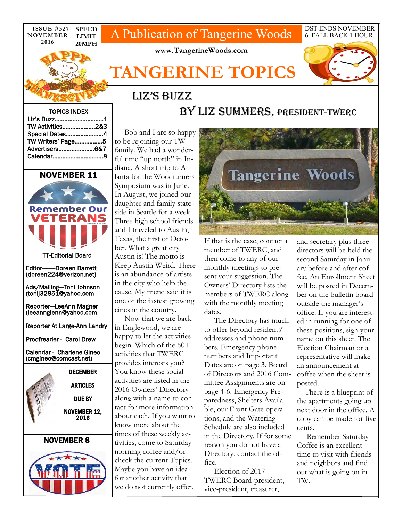**ISSUE #327 NOVEMBER 2016 SPEED LIMIT 20MPH** 

# A Publication of Tangerine Woods

DST ENDS NOVEMBER 6. FALL BACK 1 HOUR.



**www.TangerineWoods.com** 

# **TANGERINE TOPICS**



#### TOPICS INDEX

| Liz's Buzz1       |  |
|-------------------|--|
| TW Activities2&3  |  |
| Special Dates4    |  |
| TW Writers' Page5 |  |
|                   |  |
|                   |  |

### **NOVEMBER 11**



TT-Editorial Board

Editor———Doreen Barrett (doreen224@verizon.net)

Ads/Mailing—Toni Johnson (tonij32851@yahoo.com

Reporter—LeeAnn Magner (leeannglenn@yahoo.com

Reporter At Large-Ann Landry

Proofreader - Carol Drew

Calendar - Charlene Gineo (cmgineo@comcast.net)



### NOVEMBER 8



 Bob and I are so happy to be rejoining our TW family. We had a wonderful time "up north" in Indiana. A short trip to Atlanta for the Woodturners Symposium was in June. In August, we joined our daughter and family stateside in Seattle for a week. Three high school friends and I traveled to Austin, Texas, the first of October. What a great city Austin is! The motto is Keep Austin Weird. There is an abundance of artists in the city who help the cause. My friend said it is one of the fastest growing cities in the country.

liz's buzz

 Now that we are back in Englewood, we are happy to let the activities begin. Which of the 60+ activities that TWERC provides interests you? You know these social activities are listed in the 2016 Owners' Directory along with a name to contact for more information about each. If you want to know more about the times of these weekly activities, come to Saturday morning coffee and/or check the current Topics. Maybe you have an idea for another activity that we do not currently offer.



BY LIz summers, PRESIDENT-TWERC

If that is the case, contact a member of TWERC, and then come to any of our monthly meetings to present your suggestion. The Owners' Directory lists the members of TWERC along with the monthly meeting dates.

 The Directory has much to offer beyond residents' addresses and phone numbers. Emergency phone numbers and Important Dates are on page 3. Board of Directors and 2016 Committee Assignments are on page 4-6. Emergency Preparedness, Shelters Available, our Front Gate operations, and the Watering Schedule are also included in the Directory. If for some reason you do not have a Directory, contact the office.

 Election of 2017 TWERC Board-president, vice-president, treasurer,

and secretary plus three directors will be held the second Saturday in January before and after coffee. An Enrollment Sheet will be posted in December on the bulletin board outside the manager's office. If you are interested in running for one of these positions, sign your name on this sheet. The Election Chairman or a representative will make an announcement at coffee when the sheet is posted.

 There is a blueprint of the apartments going up next door in the office. A copy can be made for five cents.

 Remember Saturday Coffee is an excellent time to visit with friends and neighbors and find out what is going on in TW.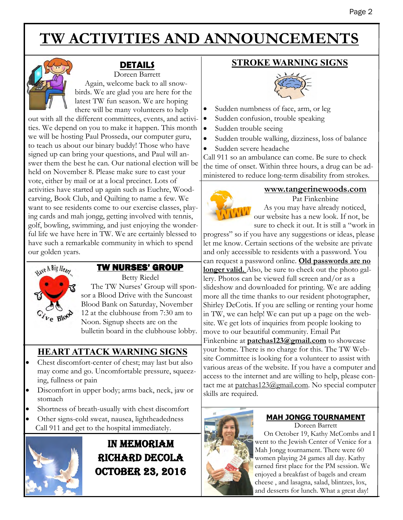# **TW ACTIVITIES AND ANNOUNCEMENTS**



# **DETAILS**

Doreen Barrett Again, welcome back to all snowbirds. We are glad you are here for the latest TW fun season. We are hoping there will be many volunteers to help

out with all the different committees, events, and activities. We depend on you to make it happen. This month we will be hosting Paul Prosseda, our computer guru, to teach us about our binary buddy! Those who have signed up can bring your questions, and Paul will answer them the best he can. Our national election will be held on November 8. Please make sure to cast your vote, either by mail or at a local precinct. Lots of activities have started up again such as Euchre, Woodcarving, Book Club, and Quilting to name a few. We want to see residents come to our exercise classes, playing cards and mah jongg, getting involved with tennis, golf, bowling, swimming, and just enjoying the wonderful life we have here in TW. We are certainly blessed to have such a remarkable community in which to spend our golden years.



### TW NURSES' GROUP

Betty Riedel

 The TW Nurses' Group will sponsor a Blood Drive with the Suncoast Blood Bank on Saturday, November 12 at the clubhouse from 7:30 am to Noon. Signup sheets are on the bulletin board in the clubhouse lobby.

## **HEART ATTACK WARNING SIGNS**

- Chest discomfort-center of chest; may last but also may come and go. Uncomfortable pressure, squeezing, fullness or pain
- Discomfort in upper body; arms back, neck, jaw or stomach
- Shortness of breath-usually with chest discomfort
- Other signs-cold sweat, nausea, lightheadedness Call 911 and get to the hospital immediately.



# in memoriam Richard decola October 23, 2016

## **STROKE WARNING SIGNS**



- Sudden numbness of face, arm, or leg
- Sudden confusion, trouble speaking
- Sudden trouble seeing
- Sudden trouble walking, dizziness, loss of balance
- Sudden severe headache

Call 911 so an ambulance can come. Be sure to check the time of onset. Within three hours, a drug can be administered to reduce long-term disability from strokes.

**www.tangerinewoods.com** 

Pat Finkenbine As you may have already noticed, our website has a new look. If not, be sure to check it out. It is still a "work in

progress" so if you have any suggestions or ideas, please let me know. Certain sections of the website are private and only accessible to residents with a password. You can request a password online. **Old passwords are no longer valid.** Also, be sure to check out the photo gallery. Photos can be viewed full screen and/or as a slideshow and downloaded for printing. We are adding more all the time thanks to our resident photographer, Shirley DeCotis. If you are selling or renting your home in TW, we can help! We can put up a page on the website. We get lots of inquiries from people looking to move to our beautiful community. Email Pat Finkenbine at **patchas123@gmail.com** to showcase your home. There is no charge for this. The TW Website Committee is looking for a volunteer to assist with various areas of the website. If you have a computer and access to the internet and are willing to help, please contact me at patchas123@gmail.com. No special computer skills are required.



### **MAH JONGG TOURNAMENT**

Doreen Barrett On October 19, Kathy McCombs and I went to the Jewish Center of Venice for a Mah Jongg tournament. There were 60 women playing 24 games all day. Kathy earned first place for the PM session. We enjoyed a breakfast of bagels and cream cheese , and lasagna, salad, blintzes, lox, and desserts for lunch. What a great day!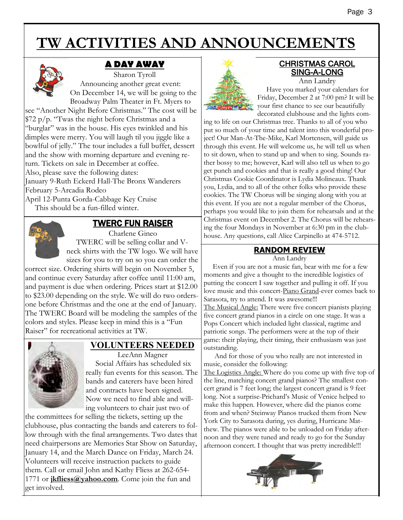# **TW ACTIVITIES AND ANNOUNCEMENTS**



# **A DAY AWAY**

Sharon Tyroll Announcing another great event: On December 14, we will be going to the Broadway Palm Theater in Ft. Myers to

see "Another Night Before Christmas." The cost will be  $\frac{1}{2}$  p/p. "Twas the night before Christmas and a "burglar" was in the house. His eyes twinkled and his dimples were merry. You will laugh til you jiggle like a bowlful of jelly." The tour includes a full buffet, dessert and the show with morning departure and evening return. Tickets on sale in December at coffee. Also, please save the following dates: January 9-Ruth Eckerd Hall-The Bronx Wanderers February 5-Arcadia Rodeo

April 12-Punta Gorda-Cabbage Key Cruise This should be a fun-filled winter.



### TWERC FUN RAISER

Charlene Gineo TWERC will be selling collar and Vneck shirts with the TW logo. We will have sizes for you to try on so you can order the

correct size. Ordering shirts will begin on November 5, and continue every Saturday after coffee until 11:00 am, and payment is due when ordering. Prices start at \$12.00 to \$23.00 depending on the style. We will do two ordersone before Christmas and the one at the end of January. The TWERC Board will be modeling the samples of the colors and styles. Please keep in mind this is a "Fun Raiser" for recreational activities at TW.



# **VOLUNTEERS NEEDED**

LeeAnn Magner Social Affairs has scheduled six really fun events for this season. The bands and caterers have been hired and contracts have been signed. Now we need to find able and willing volunteers to chair just two of

the committees for selling the tickets, setting up the clubhouse, plus contacting the bands and caterers to follow through with the final arrangements. Two dates that need chairpersons are Memories Star Show on Saturday, January 14, and the March Dance on Friday, March 24. Volunteers will receive instruction packets to guide them. Call or email John and Kathy Fliess at 262-654- 1771 or **jkfliess@yahoo.com**. Come join the fun and get involved.



### CHRISTMAS CAROL SING-A-LONG Ann Landry

 Have you marked your calendars for Friday, December 2 at 7:00 pm? It will be your first chance to see our beautifully decorated clubhouse and the lights com-

ing to life on our Christmas tree. Thanks to all of you who put so much of your time and talent into this wonderful project! Our Man-At-The-Mike, Karl Mortensen, will guide us through this event. He will welcome us, he will tell us when to sit down, when to stand up and when to sing. Sounds rather bossy to me; however, Karl will also tell us when to go get punch and cookies and that is really a good thing! Our Christmas Cookie Coordinator is Lydia Molineaux. Thank you, Lydia, and to all of the other folks who provide these cookies. The TW Chorus will be singing along with you at this event. If you are not a regular member of the Chorus, perhaps you would like to join them for rehearsals and at the Christmas event on December 2. The Chorus will be rehearsing the four Mondays in November at 6:30 pm in the clubhouse. Any questions, call Alice Carpinello at 474-5712.

# **RANDOM REVIEW**

Ann Landry Even if you are not a music fan, bear with me for a few moments and give a thought to the incredible logistics of putting the concert I saw together and pulling it off. If you

love music and this concert-Piano Grand-ever comes back to Sarasota, try to attend. It was awesome!!! The Musical Angle: There were five concert pianists playing five concert grand pianos in a circle on one stage. It was a

Pops Concert which included light classical, ragtime and patriotic songs. The performers were at the top of their game: their playing, their timing, their enthusiasm was just outstanding.

 And for those of you who really are not interested in music, consider the following:

The Logistics Angle: Where do you come up with five top of the line, matching concert grand pianos? The smallest concert grand is 7 feet long; the largest concert grand is 9 feet long. Not a surprise-Prichard's Music of Venice helped to make this happen. However, where did the pianos come from and when? Steinway Pianos trucked them from New York City to Sarasota during, yes during, Hurricane Matthew. The pianos were able to be unloaded on Friday afternoon and they were tuned and ready to go for the Sunday afternoon concert. I thought that was pretty incredible!!!

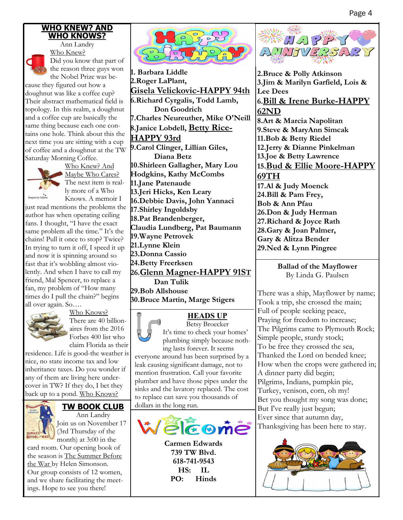### **WHO KNEW? AND WHO KNOWS?**



Ann Landry Who Knew? Did you know that part of the reason three guys won the Nobel Prize was be-

cause they figured out how a doughnut was like a coffee cup? Their abstract mathematical field is topology. In this realm, a doughnut and a coffee cup are basically the same thing because each one contains one hole. Think about this the next time you are sitting with a cup of coffee and a doughnut at the TW Saturday Morning Coffee.



Who Knew? And Maybe Who Cares? The next item is really more of a Who Knows. A memoir I

just read mentions the problems the author has when operating ceiling fans. I thought, "I have the exact same problem all the time." It's the chains! Pull it once to stop? Twice? In trying to turn it off, I speed it up and now it is spinning around so fast that it's wobbling almost violently. And when I have to call my friend, Mal Spencer, to replace a fan, my problem of "How many times do I pull the chain?" begins all over again. So….



Who Knows? There are 40 billionaires from the 2016 Forbes 400 list who claim Florida as their

residence. Life is good-the weather is nice, no state income tax and low inheritance taxes. Do you wonder if any of them are living here undercover in TW? If they do, I bet they back up to a pond. Who Knows?



### **TW BOOK CLUB**

Ann Landry Join us on November 17 (3rd Thursday of the month) at 3:00 in the

card room. Our opening book of the season is The Summer Before the War by Helen Simonson. Our group consists of 12 women, and we share facilitating the meetings. Hope to see you there!



**1. Barbara Liddle 2.Roger LaPlant, Gisela Velickovic-HAPPY 94th 6.Richard Cyrgalis, Todd Lamb, Don Goodrich 7.Charles Neureuther, Mike O'Neill 8.Janice Lobdell, Betty Rice-HAPPY 93rd 9.Carol Clinger, Lillian Giles, Diana Betz 10.Shirleen Gallagher, Mary Lou Hodgkins, Kathy McCombs 11.Jane Patenaude 13.Jeri Hicks, Ken Leary 16.Debbie Davis, John Yannaci 17.Shirley Ingoldsby 18.Pat Brandenberger, Claudia Lundberg, Pat Baumann 19.Wayne Petrovek 21.Lynne Klein 23.Donna Cassio 24.Betty Freerksen 26.Glenn Magner-HAPPY 91ST Dan Tulik 29.Bob Allshouse 30.Bruce Martin, Marge Stigers**

### **HEADS UP**

Betsy Broecker It's time to check your homes' plumbing simply because nothing lasts forever. It seems

everyone around has been surprised by a leak causing significant damage, not to mention frustration. Call your favorite plumber and have those pipes under the sinks and the lavatory replaced. The cost to replace can save you thousands of dollars in the long run.



**Carmen Edwards 739 TW Blvd. 618-741-9543 HS: IL PO: Hinds** 



**2.Bruce & Polly Atkinson 3.Jim & Marilyn Garfield, Lois & Lee Dees 6.Bill & Irene Burke-HAPPY 62ND 8.Art & Marcia Napolitan 9.Steve & MaryAnn Simcak 11.Bob & Betty Riedel 12.Jerry & Dianne Pinkelman 13.Joe & Betty Lawrence 15.Bud & Ellie Moore-HAPPY 69TH 17.Al & Judy Moenck 24.Bill & Pam Frey, Bob & Ann Pfau 26.Don & Judy Herman 27.Richard & Joyce Rath 28.Gary & Joan Palmer, Gary & Alitza Bender 29.Ned & Lynn Pingree**

### **Ballad of the Mayflower**  By Linda G. Paulsen

There was a ship, Mayflower by name; Took a trip, she crossed the main; Full of people seeking peace, Praying for freedom to increase; The Pilgrims came to Plymouth Rock; Simple people, sturdy stock; To be free they crossed the sea, Thanked the Lord on bended knee; How when the crops were gathered in; A dinner party did begin; Pilgrims, Indians, pumpkin pie, Turkey, venison, corn, oh my! Bet you thought my song was done; But I've really just begun; Ever since that autumn day, Thanksgiving has been here to stay.

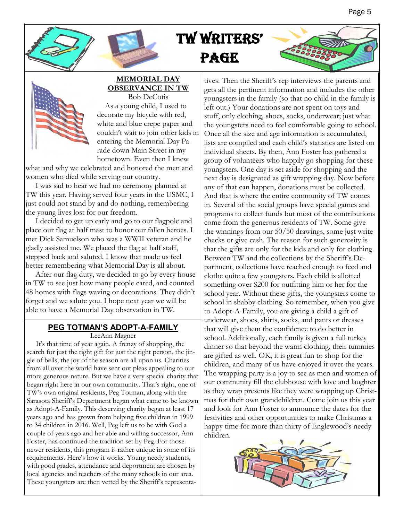





#### **MEMORIAL DAY OBSERVANCE IN TW**  Bob DeCotis

 As a young child, I used to decorate my bicycle with red, white and blue crepe paper and couldn't wait to join other kids in entering the Memorial Day Parade down Main Street in my hometown. Even then I knew

what and why we celebrated and honored the men and women who died while serving our country.

 I was sad to hear we had no ceremony planned at TW this year. Having served four years in the USMC, I just could not stand by and do nothing, remembering the young lives lost for our freedom.

 I decided to get up early and go to our flagpole and place our flag at half mast to honor our fallen heroes. I met Dick Samuelson who was a WWII veteran and he gladly assisted me. We placed the flag at half staff, stepped back and saluted. I know that made us feel better remembering what Memorial Day is all about.

 After our flag duty, we decided to go by every house in TW to see just how many people cared, and counted 48 homes with flags waving or decorations. They didn't forget and we salute you. I hope next year we will be able to have a Memorial Day observation in TW.

### **PEG TOTMAN'S ADOPT-A-FAMILY**

LeeAnn Magner

 It's that time of year again. A frenzy of shopping, the search for just the right gift for just the right person, the jingle of bells, the joy of the season are all upon us. Charities from all over the world have sent out pleas appealing to our more generous nature. But we have a very special charity that began right here in our own community. That's right, one of TW's own original residents, Peg Totman, along with the Sarasota Sheriff's Department began what came to be known as Adopt-A-Family. This deserving charity began at least 17 years ago and has grown from helping five children in 1999 to 34 children in 2016. Well, Peg left us to be with God a couple of years ago and her able and willing successor, Ann Foster, has continued the tradition set by Peg. For those newer residents, this program is rather unique in some of its requirements. Here's how it works. Young needy students, with good grades, attendance and deportment are chosen by local agencies and teachers of the many schools in our area. These youngsters are then vetted by the Sheriff's representa-

tives. Then the Sheriff's rep interviews the parents and gets all the pertinent information and includes the other youngsters in the family (so that no child in the family is left out.) Your donations are not spent on toys and stuff, only clothing, shoes, socks, underwear; just what the youngsters need to feel comfortable going to school. Once all the size and age information is accumulated, lists are compiled and each child's statistics are listed on individual sheets. By then, Ann Foster has gathered a group of volunteers who happily go shopping for these youngsters. One day is set aside for shopping and the next day is designated as gift wrapping day. Now before any of that can happen, donations must be collected. And that is where the entire community of TW comes in. Several of the social groups have special games and programs to collect funds but most of the contributions come from the generous residents of TW. Some give the winnings from our 50/50 drawings, some just write checks or give cash. The reason for such generosity is that the gifts are only for the kids and only for clothing. Between TW and the collections by the Sheriff's Department, collections have reached enough to feed and clothe quite a few youngsters. Each child is allotted something over \$200 for outfitting him or her for the school year. Without these gifts, the youngsters come to school in shabby clothing. So remember, when you give to Adopt-A-Family, you are giving a child a gift of underwear, shoes, shirts, socks, and pants or dresses that will give them the confidence to do better in school. Additionally, each family is given a full turkey dinner so that beyond the warm clothing, their tummies are gifted as well. OK, it is great fun to shop for the children, and many of us have enjoyed it over the years. The wrapping party is a joy to see as men and women of our community fill the clubhouse with love and laughter as they wrap presents like they were wrapping up Christmas for their own grandchildren. Come join us this year and look for Ann Foster to announce the dates for the festivities and other opportunities to make Christmas a happy time for more than thirty of Englewood's needy children.

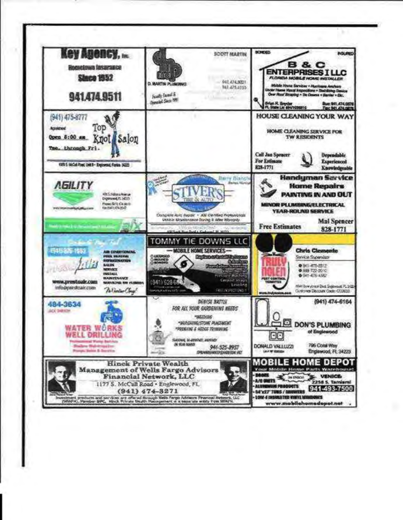